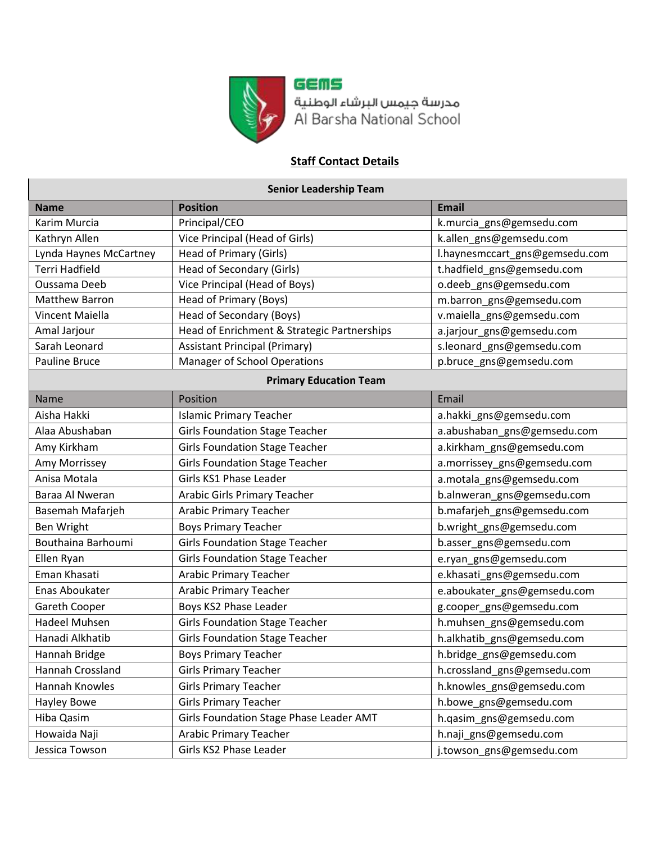

GEMS مدرسة جيمس البرشاء الوطنية<br>Al Barsha National School

## **Staff Contact Details**

|  | <b>Senior Leadership Team</b> |  |
|--|-------------------------------|--|
|--|-------------------------------|--|

| <b>Name</b>            | <b>Position</b>                             | <b>Email</b>                   |
|------------------------|---------------------------------------------|--------------------------------|
| Karim Murcia           | Principal/CEO                               | k.murcia_gns@gemsedu.com       |
| Kathryn Allen          | Vice Principal (Head of Girls)              | k.allen_gns@gemsedu.com        |
| Lynda Haynes McCartney | Head of Primary (Girls)                     | l.haynesmccart_gns@gemsedu.com |
| <b>Terri Hadfield</b>  | Head of Secondary (Girls)                   | t.hadfield_gns@gemsedu.com     |
| Oussama Deeb           | Vice Principal (Head of Boys)               | o.deeb_gns@gemsedu.com         |
| <b>Matthew Barron</b>  | Head of Primary (Boys)                      | m.barron_gns@gemsedu.com       |
| Vincent Maiella        | Head of Secondary (Boys)                    | v.maiella_gns@gemsedu.com      |
| Amal Jarjour           | Head of Enrichment & Strategic Partnerships | a.jarjour_gns@gemsedu.com      |
| Sarah Leonard          | <b>Assistant Principal (Primary)</b>        | s.leonard_gns@gemsedu.com      |
| Pauline Bruce          | Manager of School Operations                | p.bruce_gns@gemsedu.com        |
|                        | <b>Primary Education Team</b>               |                                |
| <b>Name</b>            | Position                                    | Email                          |
| Aisha Hakki            | <b>Islamic Primary Teacher</b>              | a.hakki_gns@gemsedu.com        |
| Alaa Abushaban         | <b>Girls Foundation Stage Teacher</b>       | a.abushaban_gns@gemsedu.com    |
| Amy Kirkham            | <b>Girls Foundation Stage Teacher</b>       | a.kirkham_gns@gemsedu.com      |
| Amy Morrissey          | <b>Girls Foundation Stage Teacher</b>       | a.morrissey_gns@gemsedu.com    |
| Anisa Motala           | Girls KS1 Phase Leader                      | a.motala_gns@gemsedu.com       |
| Baraa Al Nweran        | <b>Arabic Girls Primary Teacher</b>         | b.alnweran_gns@gemsedu.com     |
| Basemah Mafarjeh       | <b>Arabic Primary Teacher</b>               | b.mafarjeh_gns@gemsedu.com     |
| Ben Wright             | <b>Boys Primary Teacher</b>                 | b.wright_gns@gemsedu.com       |
| Bouthaina Barhoumi     | <b>Girls Foundation Stage Teacher</b>       | b.asser_gns@gemsedu.com        |
| Ellen Ryan             | <b>Girls Foundation Stage Teacher</b>       | e.ryan_gns@gemsedu.com         |
| Eman Khasati           | <b>Arabic Primary Teacher</b>               | e.khasati_gns@gemsedu.com      |
| Enas Aboukater         | <b>Arabic Primary Teacher</b>               | e.aboukater_gns@gemsedu.com    |
| Gareth Cooper          | Boys KS2 Phase Leader                       | g.cooper_gns@gemsedu.com       |
| Hadeel Muhsen          | <b>Girls Foundation Stage Teacher</b>       | h.muhsen_gns@gemsedu.com       |
| Hanadi Alkhatib        | <b>Girls Foundation Stage Teacher</b>       | h.alkhatib_gns@gemsedu.com     |
| Hannah Bridge          | <b>Boys Primary Teacher</b>                 | h.bridge_gns@gemsedu.com       |
| Hannah Crossland       | <b>Girls Primary Teacher</b>                | h.crossland_gns@gemsedu.com    |
| Hannah Knowles         | <b>Girls Primary Teacher</b>                | h.knowles_gns@gemsedu.com      |
| Hayley Bowe            | <b>Girls Primary Teacher</b>                | h.bowe gns@gemsedu.com         |
| Hiba Qasim             | Girls Foundation Stage Phase Leader AMT     | h.qasim_gns@gemsedu.com        |
| Howaida Naji           | <b>Arabic Primary Teacher</b>               | h.naji_gns@gemsedu.com         |
| Jessica Towson         | Girls KS2 Phase Leader                      | j.towson_gns@gemsedu.com       |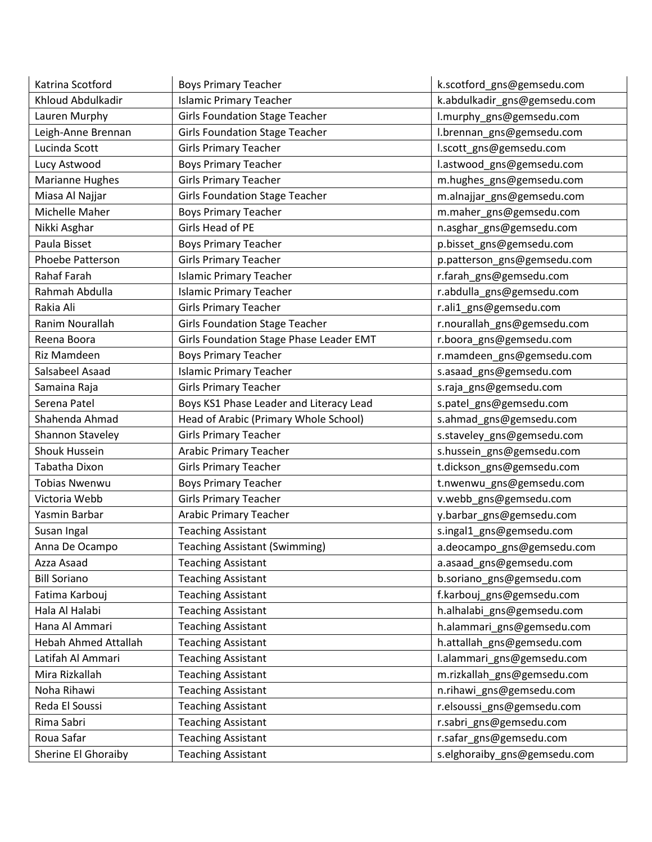| Katrina Scotford            | <b>Boys Primary Teacher</b>             | k.scotford_gns@gemsedu.com   |
|-----------------------------|-----------------------------------------|------------------------------|
| Khloud Abdulkadir           | <b>Islamic Primary Teacher</b>          | k.abdulkadir_gns@gemsedu.com |
| Lauren Murphy               | <b>Girls Foundation Stage Teacher</b>   | l.murphy_gns@gemsedu.com     |
| Leigh-Anne Brennan          | <b>Girls Foundation Stage Teacher</b>   | I.brennan_gns@gemsedu.com    |
| Lucinda Scott               | <b>Girls Primary Teacher</b>            | l.scott_gns@gemsedu.com      |
| Lucy Astwood                | <b>Boys Primary Teacher</b>             | l.astwood_gns@gemsedu.com    |
| Marianne Hughes             | <b>Girls Primary Teacher</b>            | m.hughes_gns@gemsedu.com     |
| Miasa Al Najjar             | <b>Girls Foundation Stage Teacher</b>   | m.alnajjar_gns@gemsedu.com   |
| Michelle Maher              | <b>Boys Primary Teacher</b>             | m.maher_gns@gemsedu.com      |
| Nikki Asghar                | Girls Head of PE                        | n.asghar_gns@gemsedu.com     |
| Paula Bisset                | <b>Boys Primary Teacher</b>             | p.bisset_gns@gemsedu.com     |
| Phoebe Patterson            | <b>Girls Primary Teacher</b>            | p.patterson_gns@gemsedu.com  |
| Rahaf Farah                 | <b>Islamic Primary Teacher</b>          | r.farah_gns@gemsedu.com      |
| Rahmah Abdulla              | <b>Islamic Primary Teacher</b>          | r.abdulla_gns@gemsedu.com    |
| Rakia Ali                   | <b>Girls Primary Teacher</b>            | r.ali1_gns@gemsedu.com       |
| Ranim Nourallah             | <b>Girls Foundation Stage Teacher</b>   | r.nourallah_gns@gemsedu.com  |
| Reena Boora                 | Girls Foundation Stage Phase Leader EMT | r.boora_gns@gemsedu.com      |
| Riz Mamdeen                 | <b>Boys Primary Teacher</b>             | r.mamdeen_gns@gemsedu.com    |
| Salsabeel Asaad             | <b>Islamic Primary Teacher</b>          | s.asaad_gns@gemsedu.com      |
| Samaina Raja                | <b>Girls Primary Teacher</b>            | s.raja_gns@gemsedu.com       |
| Serena Patel                | Boys KS1 Phase Leader and Literacy Lead | s.patel_gns@gemsedu.com      |
| Shahenda Ahmad              | Head of Arabic (Primary Whole School)   | s.ahmad_gns@gemsedu.com      |
| Shannon Staveley            | <b>Girls Primary Teacher</b>            | s.staveley_gns@gemsedu.com   |
| <b>Shouk Hussein</b>        | <b>Arabic Primary Teacher</b>           | s.hussein_gns@gemsedu.com    |
| Tabatha Dixon               | <b>Girls Primary Teacher</b>            | t.dickson_gns@gemsedu.com    |
| <b>Tobias Nwenwu</b>        | <b>Boys Primary Teacher</b>             | t.nwenwu_gns@gemsedu.com     |
| Victoria Webb               | <b>Girls Primary Teacher</b>            | v.webb_gns@gemsedu.com       |
| Yasmin Barbar               | <b>Arabic Primary Teacher</b>           | y.barbar_gns@gemsedu.com     |
| Susan Ingal                 | <b>Teaching Assistant</b>               | s.ingal1_gns@gemsedu.com     |
| Anna De Ocampo              | <b>Teaching Assistant (Swimming)</b>    | a.deocampo_gns@gemsedu.com   |
| Azza Asaad                  | <b>Teaching Assistant</b>               | a.asaad_gns@gemsedu.com      |
| <b>Bill Soriano</b>         | <b>Teaching Assistant</b>               | b.soriano_gns@gemsedu.com    |
| Fatima Karbouj              | <b>Teaching Assistant</b>               | f.karbouj_gns@gemsedu.com    |
| Hala Al Halabi              | <b>Teaching Assistant</b>               | h.alhalabi_gns@gemsedu.com   |
| Hana Al Ammari              | <b>Teaching Assistant</b>               | h.alammari_gns@gemsedu.com   |
| <b>Hebah Ahmed Attallah</b> | <b>Teaching Assistant</b>               | h.attallah_gns@gemsedu.com   |
| Latifah Al Ammari           | <b>Teaching Assistant</b>               | l.alammari_gns@gemsedu.com   |
| Mira Rizkallah              | <b>Teaching Assistant</b>               | m.rizkallah_gns@gemsedu.com  |
| Noha Rihawi                 | <b>Teaching Assistant</b>               | n.rihawi_gns@gemsedu.com     |
| Reda El Soussi              | <b>Teaching Assistant</b>               | r.elsoussi_gns@gemsedu.com   |
| Rima Sabri                  | <b>Teaching Assistant</b>               | r.sabri_gns@gemsedu.com      |
| Roua Safar                  | <b>Teaching Assistant</b>               | r.safar_gns@gemsedu.com      |
| Sherine El Ghoraiby         | <b>Teaching Assistant</b>               | s.elghoraiby_gns@gemsedu.com |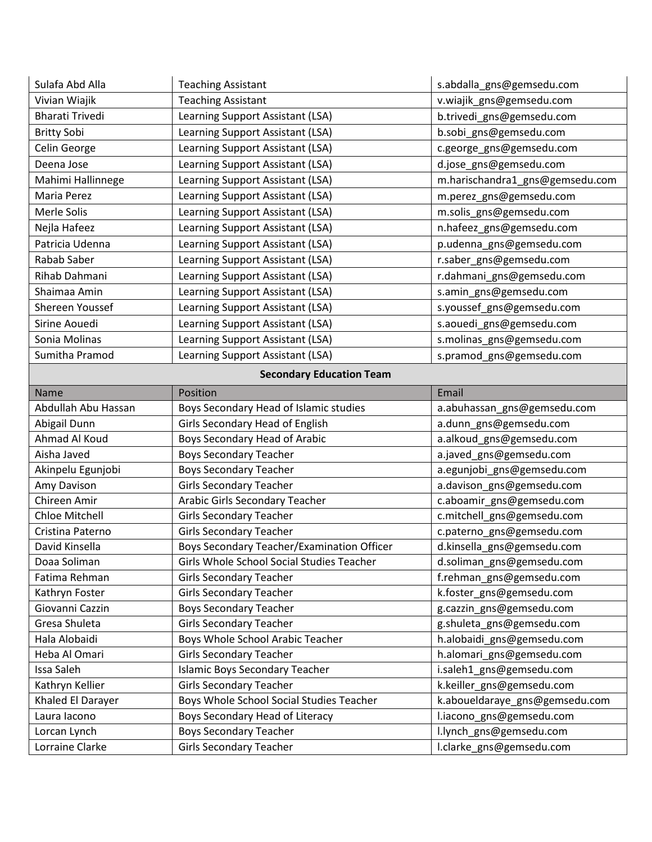| Sulafa Abd Alla        | <b>Teaching Assistant</b>                  | s.abdalla_gns@gemsedu.com       |
|------------------------|--------------------------------------------|---------------------------------|
| Vivian Wiajik          | <b>Teaching Assistant</b>                  | v.wiajik_gns@gemsedu.com        |
| <b>Bharati Trivedi</b> | Learning Support Assistant (LSA)           | b.trivedi_gns@gemsedu.com       |
| <b>Britty Sobi</b>     | Learning Support Assistant (LSA)           | b.sobi_gns@gemsedu.com          |
| Celin George           | Learning Support Assistant (LSA)           | c.george_gns@gemsedu.com        |
| Deena Jose             | Learning Support Assistant (LSA)           | d.jose_gns@gemsedu.com          |
| Mahimi Hallinnege      | Learning Support Assistant (LSA)           | m.harischandra1_gns@gemsedu.com |
| Maria Perez            | Learning Support Assistant (LSA)           | m.perez_gns@gemsedu.com         |
| Merle Solis            | Learning Support Assistant (LSA)           | m.solis_gns@gemsedu.com         |
| Nejla Hafeez           | Learning Support Assistant (LSA)           | n.hafeez_gns@gemsedu.com        |
| Patricia Udenna        | Learning Support Assistant (LSA)           | p.udenna_gns@gemsedu.com        |
| Rabab Saber            | Learning Support Assistant (LSA)           | r.saber_gns@gemsedu.com         |
| Rihab Dahmani          | Learning Support Assistant (LSA)           | r.dahmani_gns@gemsedu.com       |
| Shaimaa Amin           | Learning Support Assistant (LSA)           | s.amin_gns@gemsedu.com          |
| Shereen Youssef        | Learning Support Assistant (LSA)           | s.youssef_gns@gemsedu.com       |
| Sirine Aouedi          | Learning Support Assistant (LSA)           | s.aouedi_gns@gemsedu.com        |
| Sonia Molinas          | Learning Support Assistant (LSA)           | s.molinas_gns@gemsedu.com       |
| Sumitha Pramod         | Learning Support Assistant (LSA)           | s.pramod_gns@gemsedu.com        |
|                        | <b>Secondary Education Team</b>            |                                 |
| <b>Name</b>            | Position                                   | Email                           |
| Abdullah Abu Hassan    | Boys Secondary Head of Islamic studies     | a.abuhassan_gns@gemsedu.com     |
| Abigail Dunn           | Girls Secondary Head of English            | a.dunn_gns@gemsedu.com          |
| Ahmad Al Koud          | Boys Secondary Head of Arabic              | a.alkoud_gns@gemsedu.com        |
| Aisha Javed            | <b>Boys Secondary Teacher</b>              | a.javed_gns@gemsedu.com         |
| Akinpelu Egunjobi      | <b>Boys Secondary Teacher</b>              | a.egunjobi_gns@gemsedu.com      |
| Amy Davison            | <b>Girls Secondary Teacher</b>             | a.davison_gns@gemsedu.com       |
| Chireen Amir           | Arabic Girls Secondary Teacher             | c.aboamir_gns@gemsedu.com       |
| Chloe Mitchell         | <b>Girls Secondary Teacher</b>             | c.mitchell_gns@gemsedu.com      |
| Cristina Paterno       | <b>Girls Secondary Teacher</b>             | c.paterno_gns@gemsedu.com       |
| David Kinsella         | Boys Secondary Teacher/Examination Officer | d.kinsella_gns@gemsedu.com      |
| Doaa Soliman           | Girls Whole School Social Studies Teacher  | d.soliman_gns@gemsedu.com       |
| Fatima Rehman          | <b>Girls Secondary Teacher</b>             | f.rehman gns@gemsedu.com        |
| Kathryn Foster         | <b>Girls Secondary Teacher</b>             | k.foster_gns@gemsedu.com        |
| Giovanni Cazzin        | <b>Boys Secondary Teacher</b>              | g.cazzin_gns@gemsedu.com        |
| Gresa Shuleta          | <b>Girls Secondary Teacher</b>             | g.shuleta_gns@gemsedu.com       |
| Hala Alobaidi          | Boys Whole School Arabic Teacher           | h.alobaidi_gns@gemsedu.com      |
| Heba Al Omari          | <b>Girls Secondary Teacher</b>             | h.alomari_gns@gemsedu.com       |
| Issa Saleh             | <b>Islamic Boys Secondary Teacher</b>      | i.saleh1 gns@gemsedu.com        |
| Kathryn Kellier        | <b>Girls Secondary Teacher</b>             | k.keiller_gns@gemsedu.com       |
| Khaled El Darayer      | Boys Whole School Social Studies Teacher   | k.aboueldaraye_gns@gemsedu.com  |
|                        |                                            |                                 |
| Laura lacono           | Boys Secondary Head of Literacy            | l.iacono_gns@gemsedu.com        |
| Lorcan Lynch           | <b>Boys Secondary Teacher</b>              | l.lynch_gns@gemsedu.com         |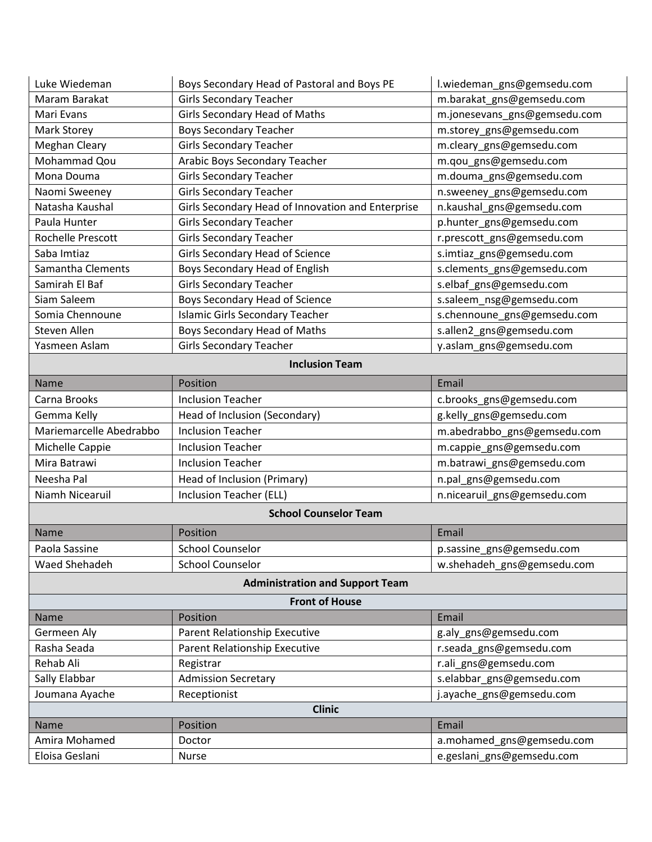| Luke Wiedeman           | Boys Secondary Head of Pastoral and Boys PE       | l.wiedeman_gns@gemsedu.com   |
|-------------------------|---------------------------------------------------|------------------------------|
| Maram Barakat           | <b>Girls Secondary Teacher</b>                    | m.barakat_gns@gemsedu.com    |
| Mari Evans              | <b>Girls Secondary Head of Maths</b>              | m.jonesevans_gns@gemsedu.com |
| Mark Storey             | <b>Boys Secondary Teacher</b>                     | m.storey_gns@gemsedu.com     |
| <b>Meghan Cleary</b>    | <b>Girls Secondary Teacher</b>                    | m.cleary_gns@gemsedu.com     |
| Mohammad Qou            | Arabic Boys Secondary Teacher                     | m.qou_gns@gemsedu.com        |
| Mona Douma              | <b>Girls Secondary Teacher</b>                    | m.douma_gns@gemsedu.com      |
| Naomi Sweeney           | <b>Girls Secondary Teacher</b>                    | n.sweeney_gns@gemsedu.com    |
| Natasha Kaushal         | Girls Secondary Head of Innovation and Enterprise | n.kaushal_gns@gemsedu.com    |
| Paula Hunter            | <b>Girls Secondary Teacher</b>                    | p.hunter_gns@gemsedu.com     |
| Rochelle Prescott       | <b>Girls Secondary Teacher</b>                    | r.prescott_gns@gemsedu.com   |
| Saba Imtiaz             | Girls Secondary Head of Science                   | s.imtiaz_gns@gemsedu.com     |
| Samantha Clements       | Boys Secondary Head of English                    | s.clements_gns@gemsedu.com   |
| Samirah El Baf          | <b>Girls Secondary Teacher</b>                    | s.elbaf_gns@gemsedu.com      |
| Siam Saleem             | Boys Secondary Head of Science                    | s.saleem_nsg@gemsedu.com     |
| Somia Chennoune         | <b>Islamic Girls Secondary Teacher</b>            | s.chennoune_gns@gemsedu.com  |
| Steven Allen            | Boys Secondary Head of Maths                      | s.allen2_gns@gemsedu.com     |
| Yasmeen Aslam           | <b>Girls Secondary Teacher</b>                    | y.aslam_gns@gemsedu.com      |
|                         | <b>Inclusion Team</b>                             |                              |
| Name                    | Position                                          | Email                        |
| Carna Brooks            | <b>Inclusion Teacher</b>                          | c.brooks_gns@gemsedu.com     |
| Gemma Kelly             | Head of Inclusion (Secondary)                     | g.kelly_gns@gemsedu.com      |
| Mariemarcelle Abedrabbo | <b>Inclusion Teacher</b>                          | m.abedrabbo_gns@gemsedu.com  |
| Michelle Cappie         | <b>Inclusion Teacher</b>                          | m.cappie_gns@gemsedu.com     |
| Mira Batrawi            | <b>Inclusion Teacher</b>                          | m.batrawi_gns@gemsedu.com    |
| Neesha Pal              | Head of Inclusion (Primary)                       | n.pal_gns@gemsedu.com        |
| Niamh Nicearuil         | Inclusion Teacher (ELL)                           | n.nicearuil_gns@gemsedu.com  |
|                         | <b>School Counselor Team</b>                      |                              |
| <b>Name</b>             | Position                                          | Email                        |
| Paola Sassine           | <b>School Counselor</b>                           | p.sassine_gns@gemsedu.com    |
| Waed Shehadeh           | <b>School Counselor</b>                           | w.shehadeh gns@gemsedu.com   |
|                         | <b>Administration and Support Team</b>            |                              |
|                         | <b>Front of House</b>                             |                              |
| Name                    | Position                                          | Email                        |
| Germeen Aly             | Parent Relationship Executive                     | g.aly_gns@gemsedu.com        |
| Rasha Seada             | Parent Relationship Executive                     | r.seada_gns@gemsedu.com      |
| Rehab Ali               | Registrar                                         | r.ali_gns@gemsedu.com        |
| Sally Elabbar           | <b>Admission Secretary</b>                        | s.elabbar_gns@gemsedu.com    |
| Joumana Ayache          | Receptionist                                      | j.ayache_gns@gemsedu.com     |
|                         | <b>Clinic</b>                                     |                              |
| Name                    | Position                                          | Email                        |
| Amira Mohamed           | Doctor                                            | a.mohamed_gns@gemsedu.com    |
| Eloisa Geslani          | <b>Nurse</b>                                      | e.geslani_gns@gemsedu.com    |